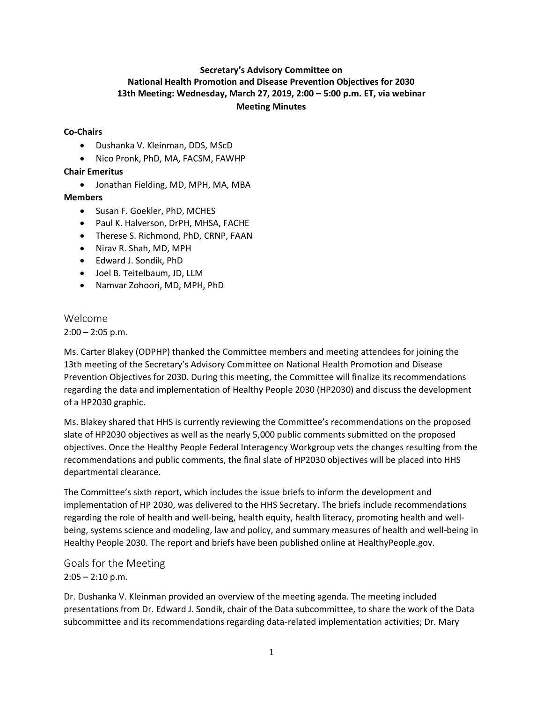## **Secretary's Advisory Committee on National Health Promotion and Disease Prevention Objectives for 2030 13th Meeting: Wednesday, March 27, 2019, 2:00 – 5:00 p.m. ET, via webinar Meeting Minutes**

#### **Co-Chairs**

- Dushanka V. Kleinman, DDS, MScD
- Nico Pronk, PhD, MA, FACSM, FAWHP

#### **Chair Emeritus**

• Jonathan Fielding, MD, MPH, MA, MBA

#### **Members**

- Susan F. Goekler, PhD, MCHES
- Paul K. Halverson, DrPH, MHSA, FACHE
- Therese S. Richmond, PhD, CRNP, FAAN
- Nirav R. Shah, MD, MPH
- Edward J. Sondik, PhD
- Joel B. Teitelbaum, JD, LLM
- Namvar Zohoori, MD, MPH, PhD

# Welcome

 $2:00 - 2:05$  p.m.

Ms. Carter Blakey (ODPHP) thanked the Committee members and meeting attendees for joining the 13th meeting of the Secretary's Advisory Committee on National Health Promotion and Disease Prevention Objectives for 2030. During this meeting, the Committee will finalize its recommendations regarding the data and implementation of Healthy People 2030 (HP2030) and discuss the development of a HP2030 graphic.

Ms. Blakey shared that HHS is currently reviewing the Committee's recommendations on the proposed slate of HP2030 objectives as well as the nearly 5,000 public comments submitted on the proposed objectives. Once the Healthy People Federal Interagency Workgroup vets the changes resulting from the recommendations and public comments, the final slate of HP2030 objectives will be placed into HHS departmental clearance.

The Committee's sixth report, which includes the issue briefs to inform the development and implementation of HP 2030, was delivered to the HHS Secretary. The briefs include recommendations regarding the role of health and well-being, health equity, health literacy, promoting health and wellbeing, systems science and modeling, law and policy, and summary measures of health and well-being in Healthy People 2030. The report and briefs have been published online at HealthyPeople.gov.

## Goals for the Meeting  $2:05 - 2:10$  p.m.

Dr. Dushanka V. Kleinman provided an overview of the meeting agenda. The meeting included presentations from Dr. Edward J. Sondik, chair of the Data subcommittee, to share the work of the Data subcommittee and its recommendations regarding data-related implementation activities; Dr. Mary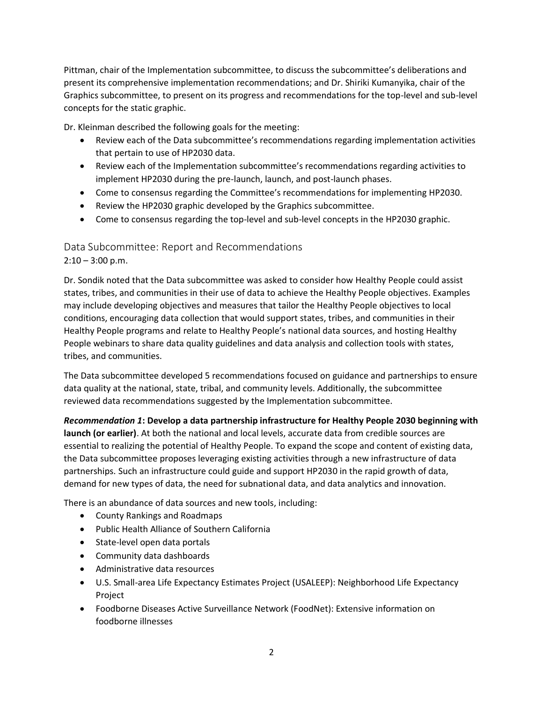Pittman, chair of the Implementation subcommittee, to discuss the subcommittee's deliberations and present its comprehensive implementation recommendations; and Dr. Shiriki Kumanyika, chair of the Graphics subcommittee, to present on its progress and recommendations for the top-level and sub-level concepts for the static graphic.

Dr. Kleinman described the following goals for the meeting:

- Review each of the Data subcommittee's recommendations regarding implementation activities that pertain to use of HP2030 data.
- Review each of the Implementation subcommittee's recommendations regarding activities to implement HP2030 during the pre-launch, launch, and post-launch phases.
- Come to consensus regarding the Committee's recommendations for implementing HP2030.
- Review the HP2030 graphic developed by the Graphics subcommittee.
- Come to consensus regarding the top-level and sub-level concepts in the HP2030 graphic.

## Data Subcommittee: Report and Recommendations

 $2:10 - 3:00$  p.m.

Dr. Sondik noted that the Data subcommittee was asked to consider how Healthy People could assist states, tribes, and communities in their use of data to achieve the Healthy People objectives. Examples may include developing objectives and measures that tailor the Healthy People objectives to local conditions, encouraging data collection that would support states, tribes, and communities in their Healthy People programs and relate to Healthy People's national data sources, and hosting Healthy People webinars to share data quality guidelines and data analysis and collection tools with states, tribes, and communities.

The Data subcommittee developed 5 recommendations focused on guidance and partnerships to ensure data quality at the national, state, tribal, and community levels. Additionally, the subcommittee reviewed data recommendations suggested by the Implementation subcommittee.

*Recommendation 1***: Develop a data partnership infrastructure for Healthy People 2030 beginning with launch (or earlier)**. At both the national and local levels, accurate data from credible sources are essential to realizing the potential of Healthy People. To expand the scope and content of existing data, the Data subcommittee proposes leveraging existing activities through a new infrastructure of data partnerships. Such an infrastructure could guide and support HP2030 in the rapid growth of data, demand for new types of data, the need for subnational data, and data analytics and innovation.

There is an abundance of data sources and new tools, including:

- County Rankings and Roadmaps
- Public Health Alliance of Southern California
- State-level open data portals
- Community data dashboards
- Administrative data resources
- U.S. Small-area Life Expectancy Estimates Project (USALEEP): Neighborhood Life Expectancy Project
- Foodborne Diseases Active Surveillance Network (FoodNet): Extensive information on foodborne illnesses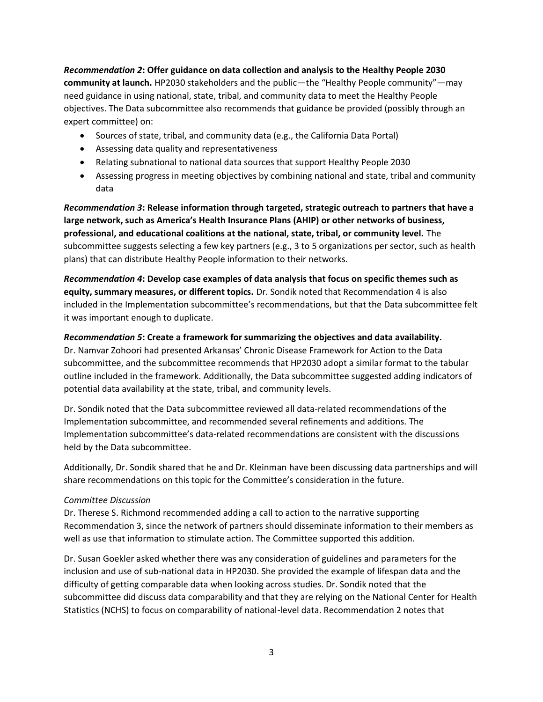*Recommendation 2***: Offer guidance on data collection and analysis to the Healthy People 2030 community at launch.** HP2030 stakeholders and the public—the "Healthy People community"—may need guidance in using national, state, tribal, and community data to meet the Healthy People objectives. The Data subcommittee also recommends that guidance be provided (possibly through an expert committee) on:

- Sources of state, tribal, and community data (e.g., the California Data Portal)
- Assessing data quality and representativeness
- Relating subnational to national data sources that support Healthy People 2030
- Assessing progress in meeting objectives by combining national and state, tribal and community data

*Recommendation 3***: Release information through targeted, strategic outreach to partners that have a large network, such as America's Health Insurance Plans (AHIP) or other networks of business, professional, and educational coalitions at the national, state, tribal, or community level.** The subcommittee suggests selecting a few key partners (e.g., 3 to 5 organizations per sector, such as health plans) that can distribute Healthy People information to their networks.

*Recommendation 4***: Develop case examples of data analysis that focus on specific themes such as equity, summary measures, or different topics.** Dr. Sondik noted that Recommendation 4 is also included in the Implementation subcommittee's recommendations, but that the Data subcommittee felt it was important enough to duplicate.

#### *Recommendation 5***: Create a framework for summarizing the objectives and data availability.**

Dr. Namvar Zohoori had presented Arkansas' Chronic Disease Framework for Action to the Data subcommittee, and the subcommittee recommends that HP2030 adopt a similar format to the tabular outline included in the framework. Additionally, the Data subcommittee suggested adding indicators of potential data availability at the state, tribal, and community levels.

Dr. Sondik noted that the Data subcommittee reviewed all data-related recommendations of the Implementation subcommittee, and recommended several refinements and additions. The Implementation subcommittee's data-related recommendations are consistent with the discussions held by the Data subcommittee.

Additionally, Dr. Sondik shared that he and Dr. Kleinman have been discussing data partnerships and will share recommendations on this topic for the Committee's consideration in the future.

#### *Committee Discussion*

Dr. Therese S. Richmond recommended adding a call to action to the narrative supporting Recommendation 3, since the network of partners should disseminate information to their members as well as use that information to stimulate action. The Committee supported this addition.

Dr. Susan Goekler asked whether there was any consideration of guidelines and parameters for the inclusion and use of sub-national data in HP2030. She provided the example of lifespan data and the difficulty of getting comparable data when looking across studies. Dr. Sondik noted that the subcommittee did discuss data comparability and that they are relying on the National Center for Health Statistics (NCHS) to focus on comparability of national-level data. Recommendation 2 notes that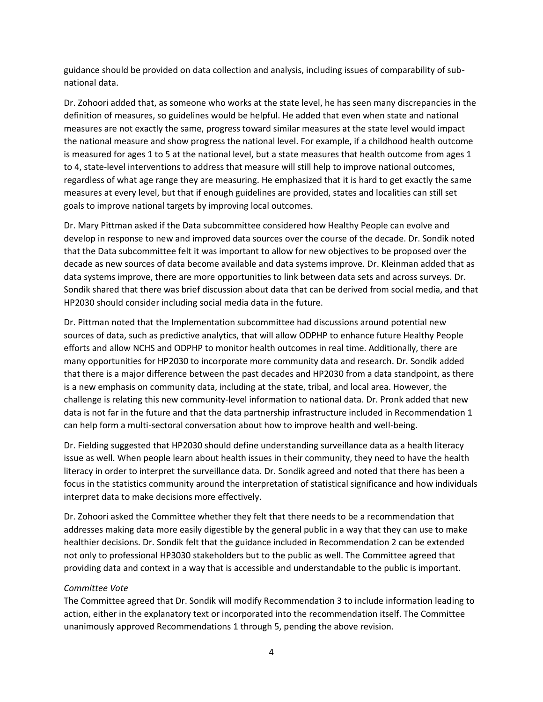guidance should be provided on data collection and analysis, including issues of comparability of subnational data.

Dr. Zohoori added that, as someone who works at the state level, he has seen many discrepancies in the definition of measures, so guidelines would be helpful. He added that even when state and national measures are not exactly the same, progress toward similar measures at the state level would impact the national measure and show progress the national level. For example, if a childhood health outcome is measured for ages 1 to 5 at the national level, but a state measures that health outcome from ages 1 to 4, state-level interventions to address that measure will still help to improve national outcomes, regardless of what age range they are measuring. He emphasized that it is hard to get exactly the same measures at every level, but that if enough guidelines are provided, states and localities can still set goals to improve national targets by improving local outcomes.

Dr. Mary Pittman asked if the Data subcommittee considered how Healthy People can evolve and develop in response to new and improved data sources over the course of the decade. Dr. Sondik noted that the Data subcommittee felt it was important to allow for new objectives to be proposed over the decade as new sources of data become available and data systems improve. Dr. Kleinman added that as data systems improve, there are more opportunities to link between data sets and across surveys. Dr. Sondik shared that there was brief discussion about data that can be derived from social media, and that HP2030 should consider including social media data in the future.

Dr. Pittman noted that the Implementation subcommittee had discussions around potential new sources of data, such as predictive analytics, that will allow ODPHP to enhance future Healthy People efforts and allow NCHS and ODPHP to monitor health outcomes in real time. Additionally, there are many opportunities for HP2030 to incorporate more community data and research. Dr. Sondik added that there is a major difference between the past decades and HP2030 from a data standpoint, as there is a new emphasis on community data, including at the state, tribal, and local area. However, the challenge is relating this new community-level information to national data. Dr. Pronk added that new data is not far in the future and that the data partnership infrastructure included in Recommendation 1 can help form a multi-sectoral conversation about how to improve health and well-being.

Dr. Fielding suggested that HP2030 should define understanding surveillance data as a health literacy issue as well. When people learn about health issues in their community, they need to have the health literacy in order to interpret the surveillance data. Dr. Sondik agreed and noted that there has been a focus in the statistics community around the interpretation of statistical significance and how individuals interpret data to make decisions more effectively.

Dr. Zohoori asked the Committee whether they felt that there needs to be a recommendation that addresses making data more easily digestible by the general public in a way that they can use to make healthier decisions. Dr. Sondik felt that the guidance included in Recommendation 2 can be extended not only to professional HP3030 stakeholders but to the public as well. The Committee agreed that providing data and context in a way that is accessible and understandable to the public is important.

#### *Committee Vote*

The Committee agreed that Dr. Sondik will modify Recommendation 3 to include information leading to action, either in the explanatory text or incorporated into the recommendation itself. The Committee unanimously approved Recommendations 1 through 5, pending the above revision.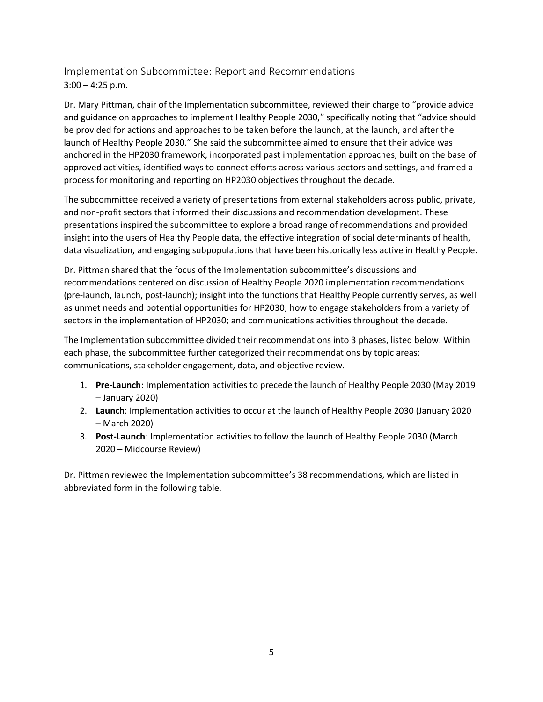Implementation Subcommittee: Report and Recommendations  $3:00 - 4:25$  p.m.

Dr. Mary Pittman, chair of the Implementation subcommittee, reviewed their charge to "provide advice and guidance on approaches to implement Healthy People 2030," specifically noting that "advice should be provided for actions and approaches to be taken before the launch, at the launch, and after the launch of Healthy People 2030." She said the subcommittee aimed to ensure that their advice was anchored in the HP2030 framework, incorporated past implementation approaches, built on the base of approved activities, identified ways to connect efforts across various sectors and settings, and framed a process for monitoring and reporting on HP2030 objectives throughout the decade.

The subcommittee received a variety of presentations from external stakeholders across public, private, and non-profit sectors that informed their discussions and recommendation development. These presentations inspired the subcommittee to explore a broad range of recommendations and provided insight into the users of Healthy People data, the effective integration of social determinants of health, data visualization, and engaging subpopulations that have been historically less active in Healthy People.

Dr. Pittman shared that the focus of the Implementation subcommittee's discussions and recommendations centered on discussion of Healthy People 2020 implementation recommendations (pre-launch, launch, post-launch); insight into the functions that Healthy People currently serves, as well as unmet needs and potential opportunities for HP2030; how to engage stakeholders from a variety of sectors in the implementation of HP2030; and communications activities throughout the decade.

The Implementation subcommittee divided their recommendations into 3 phases, listed below. Within each phase, the subcommittee further categorized their recommendations by topic areas: communications, stakeholder engagement, data, and objective review.

- 1. **Pre-Launch**: Implementation activities to precede the launch of Healthy People 2030 (May 2019 – January 2020)
- 2. **Launch**: Implementation activities to occur at the launch of Healthy People 2030 (January 2020 – March 2020)
- 3. **Post-Launch**: Implementation activities to follow the launch of Healthy People 2030 (March 2020 – Midcourse Review)

Dr. Pittman reviewed the Implementation subcommittee's 38 recommendations, which are listed in abbreviated form in the following table.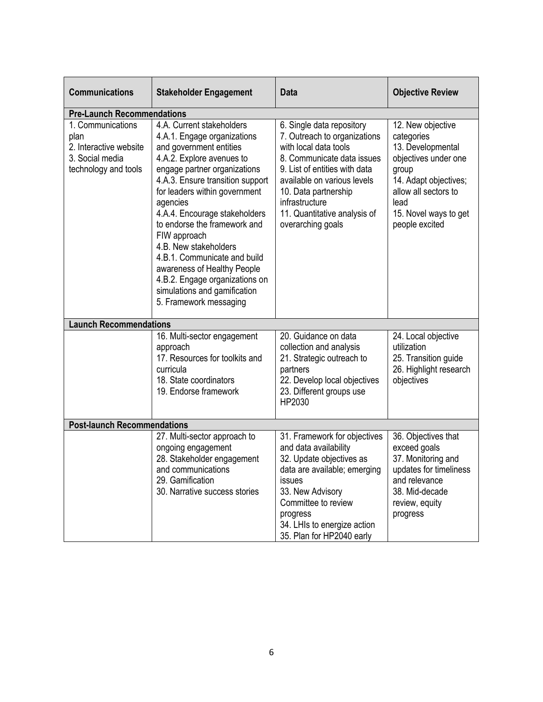| <b>Communications</b>                                                                          | <b>Stakeholder Engagement</b>                                                                                                                                                                                                                                                                                                                                                                                                                                                                          | <b>Data</b>                                                                                                                                                                                                                                                                     | <b>Objective Review</b>                                                                                                                                                                   |
|------------------------------------------------------------------------------------------------|--------------------------------------------------------------------------------------------------------------------------------------------------------------------------------------------------------------------------------------------------------------------------------------------------------------------------------------------------------------------------------------------------------------------------------------------------------------------------------------------------------|---------------------------------------------------------------------------------------------------------------------------------------------------------------------------------------------------------------------------------------------------------------------------------|-------------------------------------------------------------------------------------------------------------------------------------------------------------------------------------------|
| <b>Pre-Launch Recommendations</b>                                                              |                                                                                                                                                                                                                                                                                                                                                                                                                                                                                                        |                                                                                                                                                                                                                                                                                 |                                                                                                                                                                                           |
| 1. Communications<br>plan<br>2. Interactive website<br>3. Social media<br>technology and tools | 4.A. Current stakeholders<br>4.A.1. Engage organizations<br>and government entities<br>4.A.2. Explore avenues to<br>engage partner organizations<br>4.A.3. Ensure transition support<br>for leaders within government<br>agencies<br>4.A.4. Encourage stakeholders<br>to endorse the framework and<br>FIW approach<br>4.B. New stakeholders<br>4.B.1. Communicate and build<br>awareness of Healthy People<br>4.B.2. Engage organizations on<br>simulations and gamification<br>5. Framework messaging | 6. Single data repository<br>7. Outreach to organizations<br>with local data tools<br>8. Communicate data issues<br>9. List of entities with data<br>available on various levels<br>10. Data partnership<br>infrastructure<br>11. Quantitative analysis of<br>overarching goals | 12. New objective<br>categories<br>13. Developmental<br>objectives under one<br>group<br>14. Adapt objectives;<br>allow all sectors to<br>lead<br>15. Novel ways to get<br>people excited |
| <b>Launch Recommendations</b>                                                                  |                                                                                                                                                                                                                                                                                                                                                                                                                                                                                                        |                                                                                                                                                                                                                                                                                 |                                                                                                                                                                                           |
|                                                                                                | 16. Multi-sector engagement<br>approach<br>17. Resources for toolkits and<br>curricula<br>18. State coordinators<br>19. Endorse framework                                                                                                                                                                                                                                                                                                                                                              | 20. Guidance on data<br>collection and analysis<br>21. Strategic outreach to<br>partners<br>22. Develop local objectives<br>23. Different groups use<br>HP2030                                                                                                                  | 24. Local objective<br>utilization<br>25. Transition guide<br>26. Highlight research<br>objectives                                                                                        |
| <b>Post-launch Recommendations</b>                                                             |                                                                                                                                                                                                                                                                                                                                                                                                                                                                                                        |                                                                                                                                                                                                                                                                                 |                                                                                                                                                                                           |
|                                                                                                | 27. Multi-sector approach to<br>ongoing engagement<br>28. Stakeholder engagement<br>and communications<br>29. Gamification<br>30. Narrative success stories                                                                                                                                                                                                                                                                                                                                            | 31. Framework for objectives<br>and data availability<br>32. Update objectives as<br>data are available; emerging<br>issues<br>33. New Advisory<br>Committee to review<br>progress<br>34. LHIs to energize action<br>35. Plan for HP2040 early                                  | 36. Objectives that<br>exceed goals<br>37. Monitoring and<br>updates for timeliness<br>and relevance<br>38. Mid-decade<br>review, equity<br>progress                                      |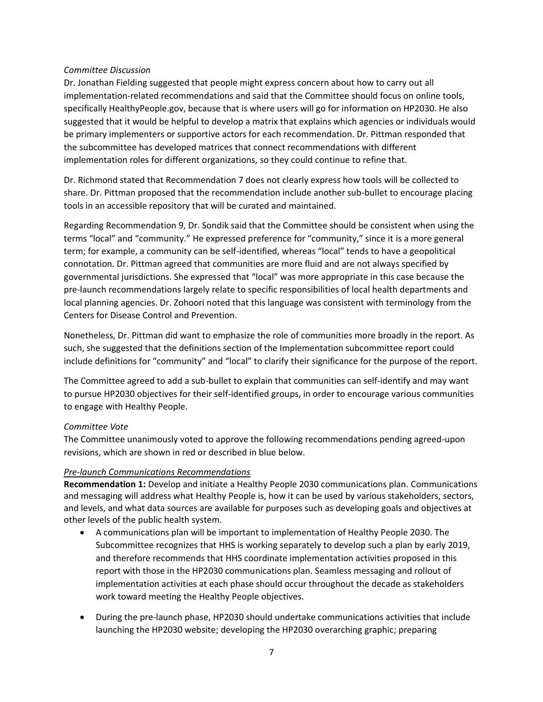#### *Committee Discussion*

Dr. Jonathan Fielding suggested that people might express concern about how to carry out all implementation-related recommendations and said that the Committee should focus on online tools, specifically HealthyPeople.gov, because that is where users will go for information on HP2030. He also suggested that it would be helpful to develop a matrix that explains which agencies or individuals would be primary implementers or supportive actors for each recommendation. Dr. Pittman responded that the subcommittee has developed matrices that connect recommendations with different implementation roles for different organizations, so they could continue to refine that.

Dr. Richmond stated that Recommendation 7 does not clearly express how tools will be collected to share. Dr. Pittman proposed that the recommendation include another sub-bullet to encourage placing tools in an accessible repository that will be curated and maintained.

Regarding Recommendation 9, Dr. Sondik said that the Committee should be consistent when using the terms "local" and "community." He expressed preference for "community," since it is a more general term; for example, a community can be self-identified, whereas "local" tends to have a geopolitical connotation. Dr. Pittman agreed that communities are more fluid and are not always specified by governmental jurisdictions. She expressed that "local" was more appropriate in this case because the pre-launch recommendations largely relate to specific responsibilities of local health departments and local planning agencies. Dr. Zohoori noted that this language was consistent with terminology from the Centers for Disease Control and Prevention.

Nonetheless, Dr. Pittman did want to emphasize the role of communities more broadly in the report. As such, she suggested that the definitions section of the Implementation subcommittee report could include definitions for "community" and "local" to clarify their significance for the purpose of the report.

The Committee agreed to add a sub-bullet to explain that communities can self-identify and may want to pursue HP2030 objectives for their self-identified groups, in order to encourage various communities to engage with Healthy People.

#### *Committee Vote*

The Committee unanimously voted to approve the following recommendations pending agreed-upon revisions, which are shown in red or described in blue below.

#### *Pre-launch Communications Recommendations*

**Recommendation 1:** Develop and initiate a Healthy People 2030 communications plan. Communications and messaging will address what Healthy People is, how it can be used by various stakeholders, sectors, and levels, and what data sources are available for purposes such as developing goals and objectives at other levels of the public health system.

- A communications plan will be important to implementation of Healthy People 2030. The Subcommittee recognizes that HHS is working separately to develop such a plan by early 2019, and therefore recommends that HHS coordinate implementation activities proposed in this report with those in the HP2030 communications plan. Seamless messaging and rollout of implementation activities at each phase should occur throughout the decade as stakeholders work toward meeting the Healthy People objectives.
- During the pre-launch phase, HP2030 should undertake communications activities that include launching the HP2030 website; developing the HP2030 overarching graphic; preparing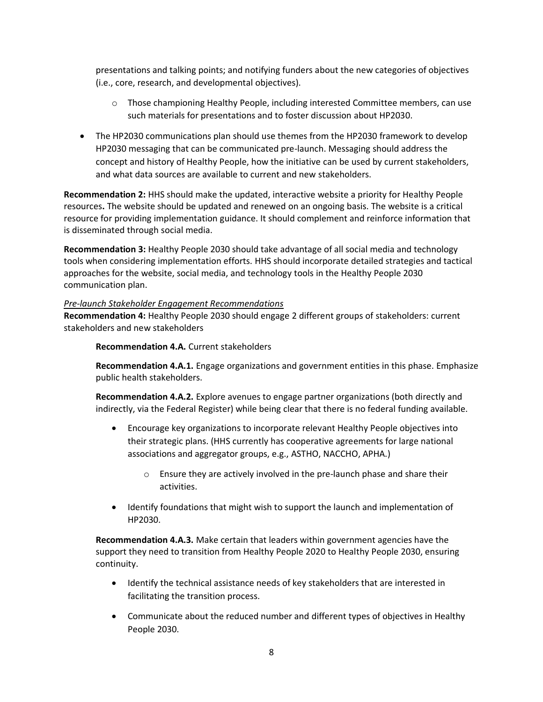presentations and talking points; and notifying funders about the new categories of objectives (i.e., core, research, and developmental objectives).

- $\circ$  Those championing Healthy People, including interested Committee members, can use such materials for presentations and to foster discussion about HP2030.
- The HP2030 communications plan should use themes from the HP2030 framework to develop HP2030 messaging that can be communicated pre-launch. Messaging should address the concept and history of Healthy People, how the initiative can be used by current stakeholders, and what data sources are available to current and new stakeholders.

**Recommendation 2:** HHS should make the updated, interactive website a priority for Healthy People resources**.** The website should be updated and renewed on an ongoing basis. The website is a critical resource for providing implementation guidance. It should complement and reinforce information that is disseminated through social media.

**Recommendation 3:** Healthy People 2030 should take advantage of all social media and technology tools when considering implementation efforts. HHS should incorporate detailed strategies and tactical approaches for the website, social media, and technology tools in the Healthy People 2030 communication plan.

#### *Pre-launch Stakeholder Engagement Recommendations*

**Recommendation 4:** Healthy People 2030 should engage 2 different groups of stakeholders: current stakeholders and new stakeholders

**Recommendation 4.A.** Current stakeholders

**Recommendation 4.A.1.** Engage organizations and government entities in this phase. Emphasize public health stakeholders.

**Recommendation 4.A.2.** Explore avenues to engage partner organizations (both directly and indirectly, via the Federal Register) while being clear that there is no federal funding available.

- Encourage key organizations to incorporate relevant Healthy People objectives into their strategic plans. (HHS currently has cooperative agreements for large national associations and aggregator groups, e.g., ASTHO, NACCHO, APHA.)
	- o Ensure they are actively involved in the pre-launch phase and share their activities.
- Identify foundations that might wish to support the launch and implementation of HP2030.

**Recommendation 4.A.3.** Make certain that leaders within government agencies have the support they need to transition from Healthy People 2020 to Healthy People 2030, ensuring continuity.

- Identify the technical assistance needs of key stakeholders that are interested in facilitating the transition process.
- Communicate about the reduced number and different types of objectives in Healthy People 2030.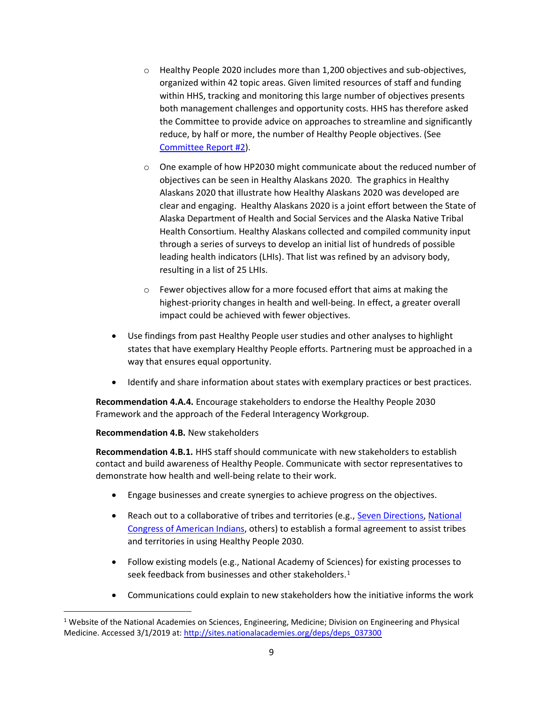- o Healthy People 2020 includes more than 1,200 objectives and sub-objectives, organized within 42 topic areas. Given limited resources of staff and funding within HHS, tracking and monitoring this large number of objectives presents both management challenges and opportunity costs. HHS has therefore asked the Committee to provide advice on approaches to streamline and significantly reduce, by half or more, the number of Healthy People objectives. (See [Committee Report #2\)](https://www.healthypeople.gov/sites/default/files/Advisory_Committee_Objectives_for_HP2030_Report.pdf).
- o One example of how HP2030 might communicate about the reduced number of objectives can be seen in Healthy Alaskans 2020. The graphics in Healthy Alaskans 2020 that illustrate how Healthy Alaskans 2020 was developed are clear and engaging. Healthy Alaskans 2020 is a joint effort between the State of Alaska Department of Health and Social Services and the Alaska Native Tribal Health Consortium. Healthy Alaskans collected and compiled community input through a series of surveys to develop an initial list of hundreds of possible leading health indicators (LHIs). That list was refined by an advisory body, resulting in a list of 25 LHIs.
- o Fewer objectives allow for a more focused effort that aims at making the highest-priority changes in health and well-being. In effect, a greater overall impact could be achieved with fewer objectives.
- Use findings from past Healthy People user studies and other analyses to highlight states that have exemplary Healthy People efforts. Partnering must be approached in a way that ensures equal opportunity.
- Identify and share information about states with exemplary practices or best practices.

**Recommendation 4.A.4.** Encourage stakeholders to endorse the Healthy People 2030 Framework and the approach of the Federal Interagency Workgroup.

#### **Recommendation 4.B.** New stakeholders

**Recommendation 4.B.1.** HHS staff should communicate with new stakeholders to establish contact and build awareness of Healthy People. Communicate with sector representatives to demonstrate how health and well-being relate to their work.

- Engage businesses and create synergies to achieve progress on the objectives.
- Reach out to a collaborative of tribes and territories (e.g., [Seven Directions,](https://indigenousphi.org/) [National](http://www.ncai.org/initiatives/partnerships-initiatives/tribalstate-collaboration-project) [Congress of American Indians,](http://www.ncai.org/initiatives/partnerships-initiatives/tribalstate-collaboration-project) others) to establish a formal agreement to assist tribes and territories in using Healthy People 2030.
- Follow existing models (e.g., National Academy of Sciences) for existing processes to seek feedback from businesses and other stakeholders. $1$
- Communications could explain to new stakeholders how the initiative informs the work

<sup>1</sup> Website of the National Academies on Sciences, Engineering, Medicine; Division on Engineering and Physical Medicine. Accessed 3/1/2019 at[: http://sites.nationalacademies.org/deps/deps\\_037300](http://sites.nationalacademies.org/deps/deps_037300)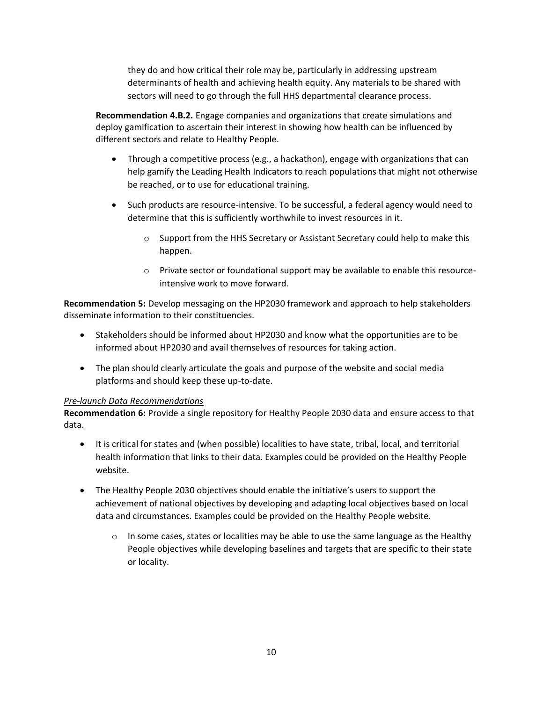they do and how critical their role may be, particularly in addressing upstream determinants of health and achieving health equity. Any materials to be shared with sectors will need to go through the full HHS departmental clearance process.

**Recommendation 4.B.2.** Engage companies and organizations that create simulations and deploy gamification to ascertain their interest in showing how health can be influenced by different sectors and relate to Healthy People.

- Through a competitive process (e.g., a hackathon), engage with organizations that can help gamify the Leading Health Indicators to reach populations that might not otherwise be reached, or to use for educational training.
- Such products are resource-intensive. To be successful, a federal agency would need to determine that this is sufficiently worthwhile to invest resources in it.
	- o Support from the HHS Secretary or Assistant Secretary could help to make this happen.
	- o Private sector or foundational support may be available to enable this resourceintensive work to move forward.

**Recommendation 5:** Develop messaging on the HP2030 framework and approach to help stakeholders disseminate information to their constituencies.

- Stakeholders should be informed about HP2030 and know what the opportunities are to be informed about HP2030 and avail themselves of resources for taking action.
- The plan should clearly articulate the goals and purpose of the website and social media platforms and should keep these up-to-date.

#### *Pre-launch Data Recommendations*

**Recommendation 6:** Provide a single repository for Healthy People 2030 data and ensure access to that data.

- It is critical for states and (when possible) localities to have state, tribal, local, and territorial health information that links to their data. Examples could be provided on the Healthy People website.
- The Healthy People 2030 objectives should enable the initiative's users to support the achievement of national objectives by developing and adapting local objectives based on local data and circumstances. Examples could be provided on the Healthy People website.
	- $\circ$  In some cases, states or localities may be able to use the same language as the Healthy People objectives while developing baselines and targets that are specific to their state or locality.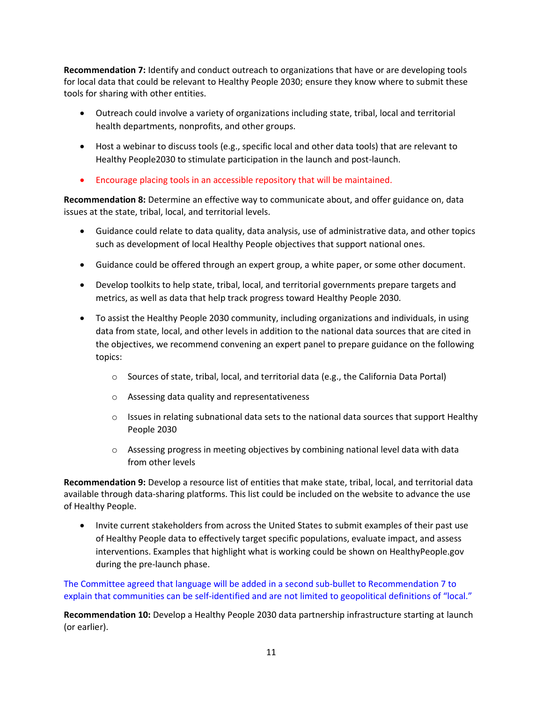**Recommendation 7:** Identify and conduct outreach to organizations that have or are developing tools for local data that could be relevant to Healthy People 2030; ensure they know where to submit these tools for sharing with other entities.

- Outreach could involve a variety of organizations including state, tribal, local and territorial health departments, nonprofits, and other groups.
- Host a webinar to discuss tools (e.g., specific local and other data tools) that are relevant to Healthy People2030 to stimulate participation in the launch and post-launch.
- Encourage placing tools in an accessible repository that will be maintained.

**Recommendation 8:** Determine an effective way to communicate about, and offer guidance on, data issues at the state, tribal, local, and territorial levels.

- Guidance could relate to data quality, data analysis, use of administrative data, and other topics such as development of local Healthy People objectives that support national ones.
- Guidance could be offered through an expert group, a white paper, or some other document.
- Develop toolkits to help state, tribal, local, and territorial governments prepare targets and metrics, as well as data that help track progress toward Healthy People 2030.
- To assist the Healthy People 2030 community, including organizations and individuals, in using data from state, local, and other levels in addition to the national data sources that are cited in the objectives, we recommend convening an expert panel to prepare guidance on the following topics:
	- $\circ$  Sources of state, tribal, local, and territorial data (e.g., the California Data Portal)
	- o Assessing data quality and representativeness
	- $\circ$  Issues in relating subnational data sets to the national data sources that support Healthy People 2030
	- $\circ$  Assessing progress in meeting objectives by combining national level data with data from other levels

**Recommendation 9:** Develop a resource list of entities that make state, tribal, local, and territorial data available through data-sharing platforms. This list could be included on the website to advance the use of Healthy People.

• Invite current stakeholders from across the United States to submit examples of their past use of Healthy People data to effectively target specific populations, evaluate impact, and assess interventions. Examples that highlight what is working could be shown on HealthyPeople.gov during the pre-launch phase.

The Committee agreed that language will be added in a second sub-bullet to Recommendation 7 to explain that communities can be self-identified and are not limited to geopolitical definitions of "local."

**Recommendation 10:** Develop a Healthy People 2030 data partnership infrastructure starting at launch (or earlier).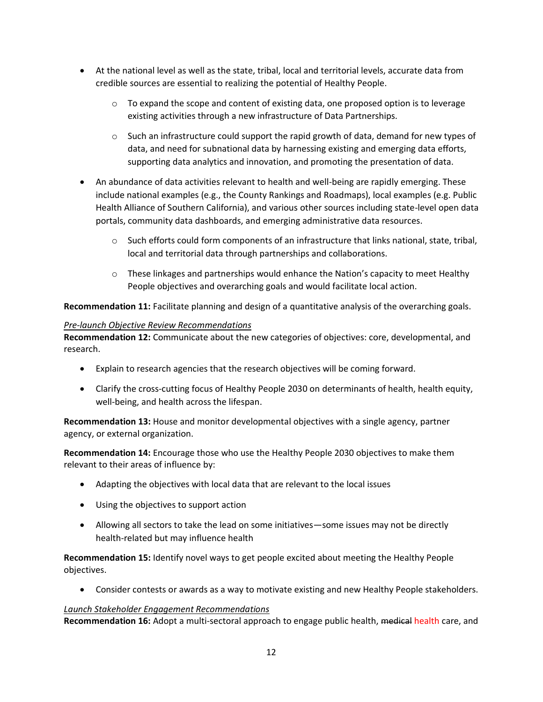- At the national level as well as the state, tribal, local and territorial levels, accurate data from credible sources are essential to realizing the potential of Healthy People.
	- $\circ$  To expand the scope and content of existing data, one proposed option is to leverage existing activities through a new infrastructure of Data Partnerships.
	- $\circ$  Such an infrastructure could support the rapid growth of data, demand for new types of data, and need for subnational data by harnessing existing and emerging data efforts, supporting data analytics and innovation, and promoting the presentation of data.
- An abundance of data activities relevant to health and well-being are rapidly emerging. These include national examples (e.g., the County Rankings and Roadmaps), local examples (e.g. Public Health Alliance of Southern California), and various other sources including state-level open data portals, community data dashboards, and emerging administrative data resources.
	- $\circ$  Such efforts could form components of an infrastructure that links national, state, tribal, local and territorial data through partnerships and collaborations.
	- $\circ$  These linkages and partnerships would enhance the Nation's capacity to meet Healthy People objectives and overarching goals and would facilitate local action.

**Recommendation 11:** Facilitate planning and design of a quantitative analysis of the overarching goals.

#### *Pre-launch Objective Review Recommendations*

**Recommendation 12:** Communicate about the new categories of objectives: core, developmental, and research.

- Explain to research agencies that the research objectives will be coming forward.
- Clarify the cross-cutting focus of Healthy People 2030 on determinants of health, health equity, well-being, and health across the lifespan.

**Recommendation 13:** House and monitor developmental objectives with a single agency, partner agency, or external organization.

**Recommendation 14:** Encourage those who use the Healthy People 2030 objectives to make them relevant to their areas of influence by:

- Adapting the objectives with local data that are relevant to the local issues
- Using the objectives to support action
- Allowing all sectors to take the lead on some initiatives—some issues may not be directly health-related but may influence health

**Recommendation 15:** Identify novel ways to get people excited about meeting the Healthy People objectives.

• Consider contests or awards as a way to motivate existing and new Healthy People stakeholders.

## *Launch Stakeholder Engagement Recommendations*

**Recommendation 16:** Adopt a multi-sectoral approach to engage public health, medical health care, and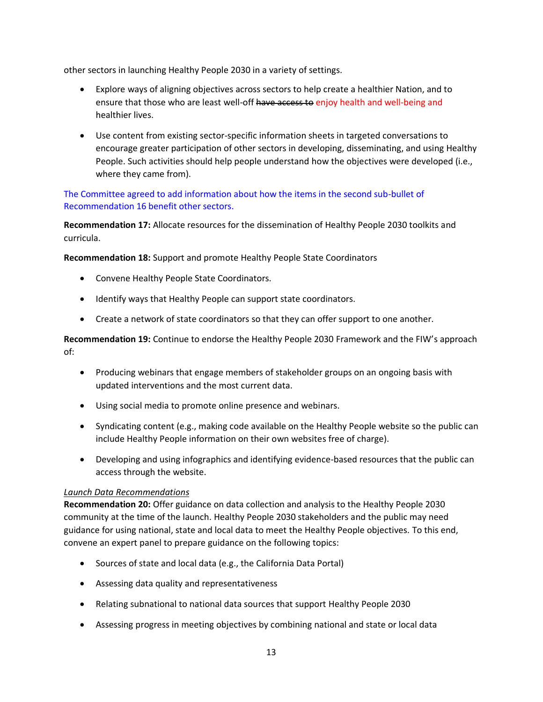other sectors in launching Healthy People 2030 in a variety of settings.

- Explore ways of aligning objectives across sectors to help create a healthier Nation, and to ensure that those who are least well-off have access to enjoy health and well-being and healthier lives.
- Use content from existing sector-specific information sheets in targeted conversations to encourage greater participation of other sectors in developing, disseminating, and using Healthy People. Such activities should help people understand how the objectives were developed (i.e., where they came from).

### The Committee agreed to add information about how the items in the second sub-bullet of Recommendation 16 benefit other sectors.

**Recommendation 17:** Allocate resources for the dissemination of Healthy People 2030 toolkits and curricula.

**Recommendation 18:** Support and promote Healthy People State Coordinators

- Convene Healthy People State Coordinators.
- Identify ways that Healthy People can support state coordinators.
- Create a network of state coordinators so that they can offer support to one another.

**Recommendation 19:** Continue to endorse the Healthy People 2030 Framework and the FIW's approach of:

- Producing webinars that engage members of stakeholder groups on an ongoing basis with updated interventions and the most current data.
- Using social media to promote online presence and webinars.
- Syndicating content (e.g., making code available on the Healthy People website so the public can include Healthy People information on their own websites free of charge).
- Developing and using infographics and identifying evidence-based resources that the public can access through the website.

#### *Launch Data Recommendations*

**Recommendation 20:** Offer guidance on data collection and analysis to the Healthy People 2030 community at the time of the launch. Healthy People 2030 stakeholders and the public may need guidance for using national, state and local data to meet the Healthy People objectives. To this end, convene an expert panel to prepare guidance on the following topics:

- Sources of state and local data (e.g., the California Data Portal)
- Assessing data quality and representativeness
- Relating subnational to national data sources that support Healthy People 2030
- Assessing progress in meeting objectives by combining national and state or local data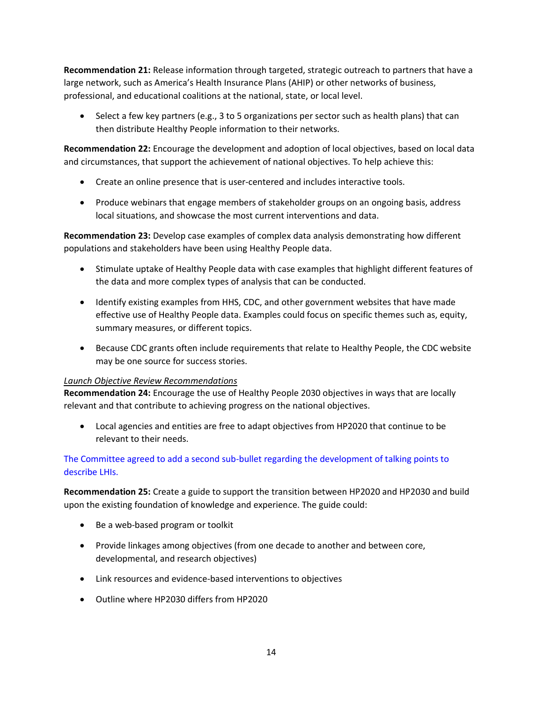**Recommendation 21:** Release information through targeted, strategic outreach to partners that have a large network, such as America's Health Insurance Plans (AHIP) or other networks of business, professional, and educational coalitions at the national, state, or local level.

• Select a few key partners (e.g., 3 to 5 organizations per sector such as health plans) that can then distribute Healthy People information to their networks.

**Recommendation 22:** Encourage the development and adoption of local objectives, based on local data and circumstances, that support the achievement of national objectives. To help achieve this:

- Create an online presence that is user-centered and includes interactive tools.
- Produce webinars that engage members of stakeholder groups on an ongoing basis, address local situations, and showcase the most current interventions and data.

**Recommendation 23:** Develop case examples of complex data analysis demonstrating how different populations and stakeholders have been using Healthy People data.

- Stimulate uptake of Healthy People data with case examples that highlight different features of the data and more complex types of analysis that can be conducted.
- Identify existing examples from HHS, CDC, and other government websites that have made effective use of Healthy People data. Examples could focus on specific themes such as, equity, summary measures, or different topics.
- Because CDC grants often include requirements that relate to Healthy People, the CDC website may be one source for success stories.

## *Launch Objective Review Recommendations*

**Recommendation 24:** Encourage the use of Healthy People 2030 objectives in ways that are locally relevant and that contribute to achieving progress on the national objectives.

• Local agencies and entities are free to adapt objectives from HP2020 that continue to be relevant to their needs.

## The Committee agreed to add a second sub-bullet regarding the development of talking points to describe LHIs.

**Recommendation 25:** Create a guide to support the transition between HP2020 and HP2030 and build upon the existing foundation of knowledge and experience. The guide could:

- Be a web-based program or toolkit
- Provide linkages among objectives (from one decade to another and between core, developmental, and research objectives)
- Link resources and evidence-based interventions to objectives
- Outline where HP2030 differs from HP2020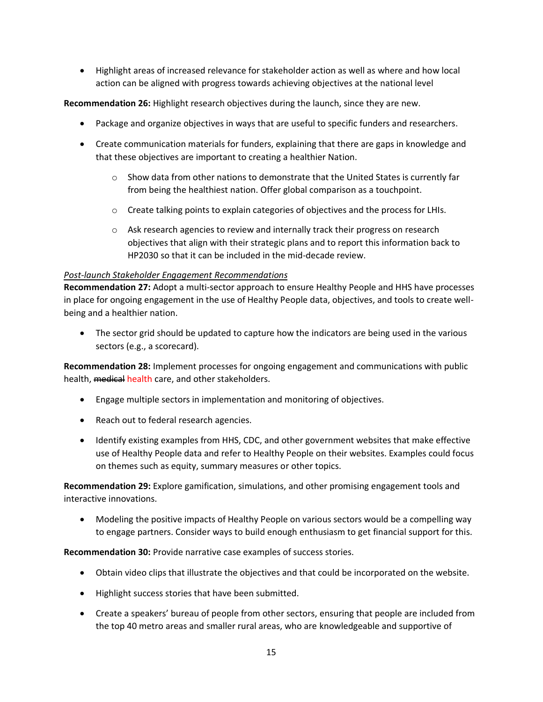• Highlight areas of increased relevance for stakeholder action as well as where and how local action can be aligned with progress towards achieving objectives at the national level

**Recommendation 26:** Highlight research objectives during the launch, since they are new.

- Package and organize objectives in ways that are useful to specific funders and researchers.
- Create communication materials for funders, explaining that there are gaps in knowledge and that these objectives are important to creating a healthier Nation.
	- $\circ$  Show data from other nations to demonstrate that the United States is currently far from being the healthiest nation. Offer global comparison as a touchpoint.
	- $\circ$  Create talking points to explain categories of objectives and the process for LHIs.
	- o Ask research agencies to review and internally track their progress on research objectives that align with their strategic plans and to report this information back to HP2030 so that it can be included in the mid-decade review.

#### *Post-launch Stakeholder Engagement Recommendations*

**Recommendation 27:** Adopt a multi-sector approach to ensure Healthy People and HHS have processes in place for ongoing engagement in the use of Healthy People data, objectives, and tools to create wellbeing and a healthier nation.

• The sector grid should be updated to capture how the indicators are being used in the various sectors (e.g., a scorecard).

**Recommendation 28:** Implement processes for ongoing engagement and communications with public health, medical health care, and other stakeholders.

- Engage multiple sectors in implementation and monitoring of objectives.
- Reach out to federal research agencies.
- Identify existing examples from HHS, CDC, and other government websites that make effective use of Healthy People data and refer to Healthy People on their websites. Examples could focus on themes such as equity, summary measures or other topics.

**Recommendation 29:** Explore gamification, simulations, and other promising engagement tools and interactive innovations.

• Modeling the positive impacts of Healthy People on various sectors would be a compelling way to engage partners. Consider ways to build enough enthusiasm to get financial support for this.

**Recommendation 30:** Provide narrative case examples of success stories.

- Obtain video clips that illustrate the objectives and that could be incorporated on the website.
- Highlight success stories that have been submitted.
- Create a speakers' bureau of people from other sectors, ensuring that people are included from the top 40 metro areas and smaller rural areas, who are knowledgeable and supportive of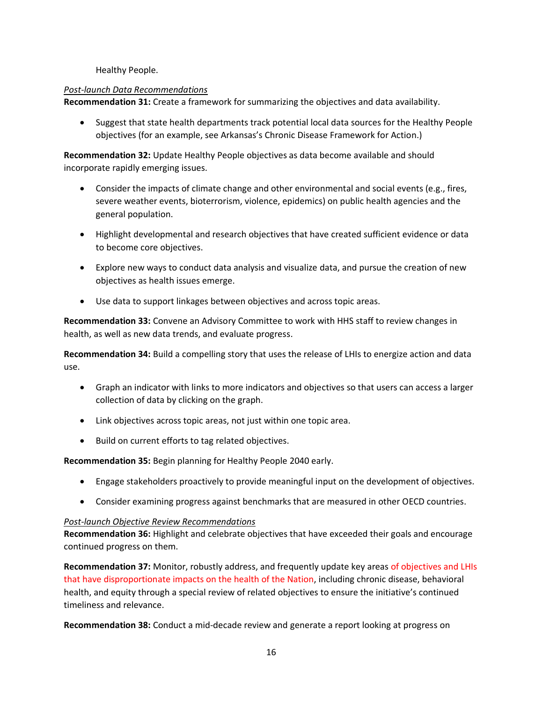Healthy People.

#### *Post-launch Data Recommendations*

**Recommendation 31:** Create a framework for summarizing the objectives and data availability.

• Suggest that state health departments track potential local data sources for the Healthy People objectives (for an example, see Arkansas's Chronic Disease Framework for Action.)

**Recommendation 32:** Update Healthy People objectives as data become available and should incorporate rapidly emerging issues.

- Consider the impacts of climate change and other environmental and social events (e.g., fires, severe weather events, bioterrorism, violence, epidemics) on public health agencies and the general population.
- Highlight developmental and research objectives that have created sufficient evidence or data to become core objectives.
- Explore new ways to conduct data analysis and visualize data, and pursue the creation of new objectives as health issues emerge.
- Use data to support linkages between objectives and across topic areas.

**Recommendation 33:** Convene an Advisory Committee to work with HHS staff to review changes in health, as well as new data trends, and evaluate progress.

**Recommendation 34:** Build a compelling story that uses the release of LHIs to energize action and data use.

- Graph an indicator with links to more indicators and objectives so that users can access a larger collection of data by clicking on the graph.
- Link objectives across topic areas, not just within one topic area.
- Build on current efforts to tag related objectives.

**Recommendation 35:** Begin planning for Healthy People 2040 early.

- Engage stakeholders proactively to provide meaningful input on the development of objectives.
- Consider examining progress against benchmarks that are measured in other OECD countries.

#### *Post-launch Objective Review Recommendations*

**Recommendation 36:** Highlight and celebrate objectives that have exceeded their goals and encourage continued progress on them.

**Recommendation 37:** Monitor, robustly address, and frequently update key areas of objectives and LHIs that have disproportionate impacts on the health of the Nation, including chronic disease, behavioral health, and equity through a special review of related objectives to ensure the initiative's continued timeliness and relevance.

**Recommendation 38:** Conduct a mid-decade review and generate a report looking at progress on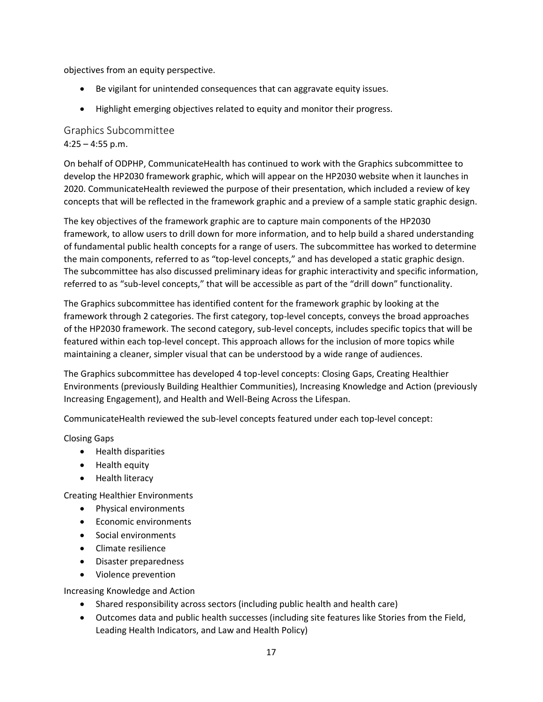objectives from an equity perspective.

- Be vigilant for unintended consequences that can aggravate equity issues.
- Highlight emerging objectives related to equity and monitor their progress.

Graphics Subcommittee  $4:25 - 4:55$  p.m.

On behalf of ODPHP, CommunicateHealth has continued to work with the Graphics subcommittee to develop the HP2030 framework graphic, which will appear on the HP2030 website when it launches in 2020. CommunicateHealth reviewed the purpose of their presentation, which included a review of key concepts that will be reflected in the framework graphic and a preview of a sample static graphic design.

The key objectives of the framework graphic are to capture main components of the HP2030 framework, to allow users to drill down for more information, and to help build a shared understanding of fundamental public health concepts for a range of users. The subcommittee has worked to determine the main components, referred to as "top-level concepts," and has developed a static graphic design. The subcommittee has also discussed preliminary ideas for graphic interactivity and specific information, referred to as "sub-level concepts," that will be accessible as part of the "drill down" functionality.

The Graphics subcommittee has identified content for the framework graphic by looking at the framework through 2 categories. The first category, top-level concepts, conveys the broad approaches of the HP2030 framework. The second category, sub-level concepts, includes specific topics that will be featured within each top-level concept. This approach allows for the inclusion of more topics while maintaining a cleaner, simpler visual that can be understood by a wide range of audiences.

The Graphics subcommittee has developed 4 top-level concepts: Closing Gaps, Creating Healthier Environments (previously Building Healthier Communities), Increasing Knowledge and Action (previously Increasing Engagement), and Health and Well-Being Across the Lifespan.

CommunicateHealth reviewed the sub-level concepts featured under each top-level concept:

Closing Gaps

- Health disparities
- Health equity
- Health literacy

Creating Healthier Environments

- Physical environments
- Economic environments
- Social environments
- Climate resilience
- Disaster preparedness
- Violence prevention

Increasing Knowledge and Action

- Shared responsibility across sectors (including public health and health care)
- Outcomes data and public health successes (including site features like Stories from the Field, Leading Health Indicators, and Law and Health Policy)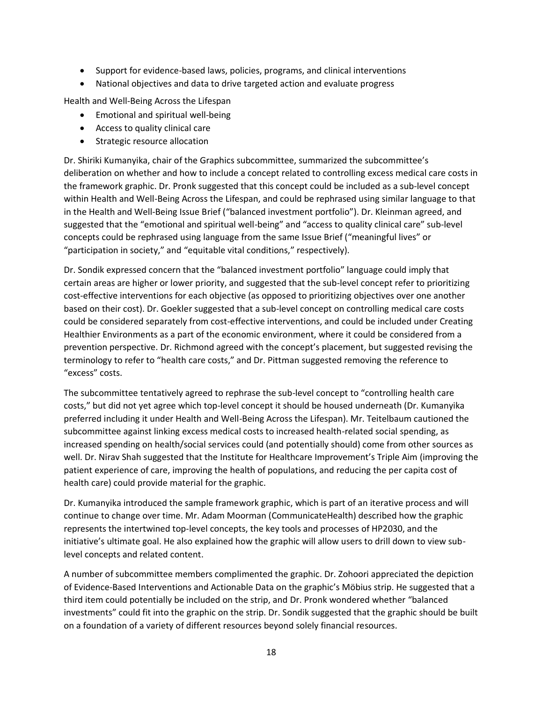- Support for evidence-based laws, policies, programs, and clinical interventions
- National objectives and data to drive targeted action and evaluate progress

Health and Well-Being Across the Lifespan

- Emotional and spiritual well-being
- Access to quality clinical care
- Strategic resource allocation

Dr. Shiriki Kumanyika, chair of the Graphics subcommittee, summarized the subcommittee's deliberation on whether and how to include a concept related to controlling excess medical care costs in the framework graphic. Dr. Pronk suggested that this concept could be included as a sub-level concept within Health and Well-Being Across the Lifespan, and could be rephrased using similar language to that in the Health and Well-Being Issue Brief ("balanced investment portfolio"). Dr. Kleinman agreed, and suggested that the "emotional and spiritual well-being" and "access to quality clinical care" sub-level concepts could be rephrased using language from the same Issue Brief ("meaningful lives" or "participation in society," and "equitable vital conditions," respectively).

Dr. Sondik expressed concern that the "balanced investment portfolio" language could imply that certain areas are higher or lower priority, and suggested that the sub-level concept refer to prioritizing cost-effective interventions for each objective (as opposed to prioritizing objectives over one another based on their cost). Dr. Goekler suggested that a sub-level concept on controlling medical care costs could be considered separately from cost-effective interventions, and could be included under Creating Healthier Environments as a part of the economic environment, where it could be considered from a prevention perspective. Dr. Richmond agreed with the concept's placement, but suggested revising the terminology to refer to "health care costs," and Dr. Pittman suggested removing the reference to "excess" costs.

The subcommittee tentatively agreed to rephrase the sub-level concept to "controlling health care costs," but did not yet agree which top-level concept it should be housed underneath (Dr. Kumanyika preferred including it under Health and Well-Being Across the Lifespan). Mr. Teitelbaum cautioned the subcommittee against linking excess medical costs to increased health-related social spending, as increased spending on health/social services could (and potentially should) come from other sources as well. Dr. Nirav Shah suggested that the Institute for Healthcare Improvement's Triple Aim (improving the patient experience of care, improving the health of populations, and reducing the per capita cost of health care) could provide material for the graphic.

Dr. Kumanyika introduced the sample framework graphic, which is part of an iterative process and will continue to change over time. Mr. Adam Moorman (CommunicateHealth) described how the graphic represents the intertwined top-level concepts, the key tools and processes of HP2030, and the initiative's ultimate goal. He also explained how the graphic will allow users to drill down to view sublevel concepts and related content.

A number of subcommittee members complimented the graphic. Dr. Zohoori appreciated the depiction of Evidence-Based Interventions and Actionable Data on the graphic's Möbius strip. He suggested that a third item could potentially be included on the strip, and Dr. Pronk wondered whether "balanced investments" could fit into the graphic on the strip. Dr. Sondik suggested that the graphic should be built on a foundation of a variety of different resources beyond solely financial resources.